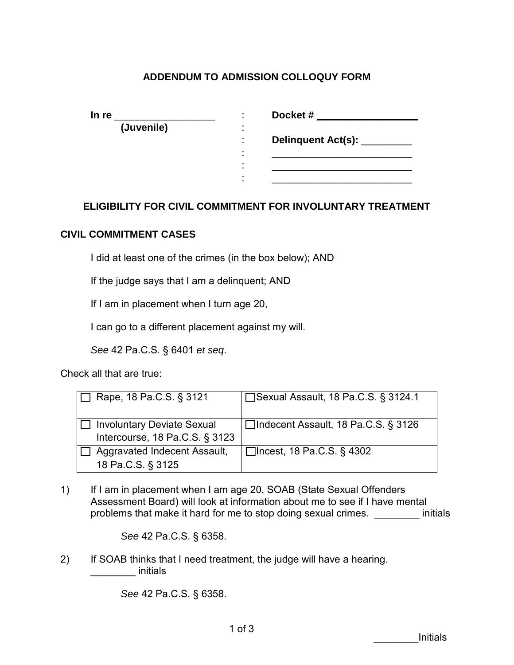## **ADDENDUM TO ADMISSION COLLOQUY FORM**

| In re      |                                  | Docket#            |
|------------|----------------------------------|--------------------|
| (Juvenile) | $\blacksquare$                   |                    |
|            | $\blacksquare$                   | Delinquent Act(s): |
|            | $\blacksquare$<br>$\blacksquare$ |                    |
|            | $\blacksquare$                   |                    |
|            |                                  |                    |

## **ELIGIBILITY FOR CIVIL COMMITMENT FOR INVOLUNTARY TREATMENT**

## **CIVIL COMMITMENT CASES**

I did at least one of the crimes (in the box below); AND

If the judge says that I am a delinquent; AND

If I am in placement when I turn age 20,

I can go to a different placement against my will.

*See* 42 Pa.C.S. § 6401 *et seq*.

Check all that are true:

| Rape, 18 Pa.C.S. § 3121                                             | □ Sexual Assault, 18 Pa.C.S. § 3124.1 |
|---------------------------------------------------------------------|---------------------------------------|
| <b>Involuntary Deviate Sexual</b><br>Intercourse, 18 Pa.C.S. § 3123 | □Indecent Assault, 18 Pa.C.S. § 3126  |
| Aggravated Indecent Assault,<br>18 Pa.C.S. § 3125                   | $\Box$ Incest, 18 Pa.C.S. § 4302      |

1) If I am in placement when I am age 20, SOAB (State Sexual Offenders Assessment Board) will look at information about me to see if I have mental problems that make it hard for me to stop doing sexual crimes. \_\_\_\_\_\_\_\_ initials

*See* 42 Pa.C.S. § 6358.

2) If SOAB thinks that I need treatment, the judge will have a hearing. decription initials

*See* 42 Pa.C.S. § 6358.

\_\_\_\_\_\_\_\_Initials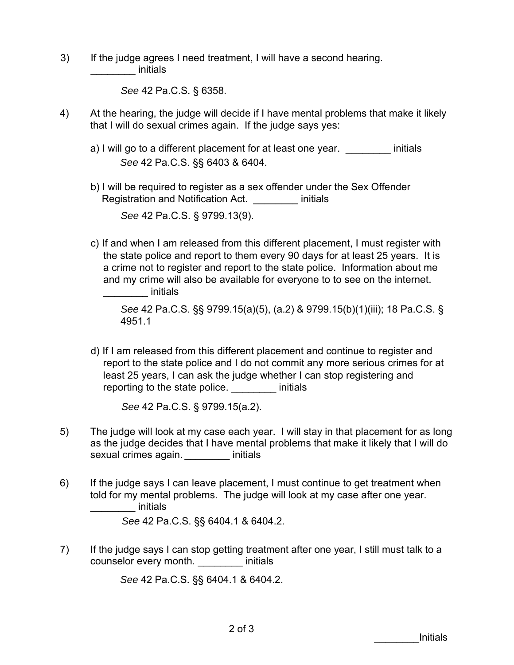3) If the judge agrees I need treatment, I will have a second hearing. \_\_\_\_\_\_\_\_ initials

*See* 42 Pa.C.S. § 6358.

- 4) At the hearing, the judge will decide if I have mental problems that make it likely that I will do sexual crimes again. If the judge says yes:
	- a) I will go to a different placement for at least one year. This initials *See* 42 Pa.C.S. §§ 6403 & 6404.
	- b) I will be required to register as a sex offender under the Sex Offender Registration and Notification Act. \_\_\_\_\_\_\_\_ initials *See* 42 Pa.C.S. § 9799.13(9).
	- c) If and when I am released from this different placement, I must register with the state police and report to them every 90 days for at least 25 years. It is a crime not to register and report to the state police. Information about me and my crime will also be available for everyone to to see on the internet. decrease initials

*See* 42 Pa.C.S. §§ 9799.15(a)(5), (a.2) & 9799.15(b)(1)(iii); 18 Pa.C.S. § 4951.1

d) If I am released from this different placement and continue to register and report to the state police and I do not commit any more serious crimes for at least 25 years, I can ask the judge whether I can stop registering and reporting to the state police. The initials

*See* 42 Pa.C.S. § 9799.15(a.2).

- 5) The judge will look at my case each year. I will stay in that placement for as long as the judge decides that I have mental problems that make it likely that I will do sexual crimes again. **Example 10** initials
- 6) If the judge says I can leave placement, I must continue to get treatment when told for my mental problems. The judge will look at my case after one year. \_\_\_\_\_\_\_\_ initials

*See* 42 Pa.C.S. §§ 6404.1 & 6404.2.

7) If the judge says I can stop getting treatment after one year, I still must talk to a counselor every month. \_\_\_\_\_\_\_\_ initials

*See* 42 Pa.C.S. §§ 6404.1 & 6404.2.